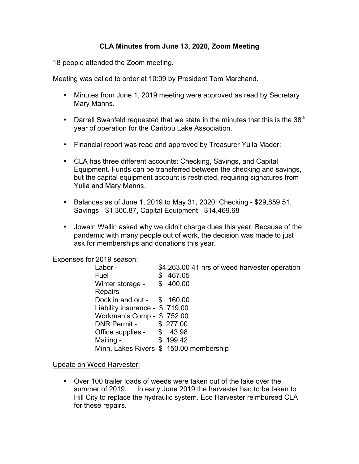### **CLA Minutes from June 13, 2020, Zoom Meeting**

18 people attended the Zoom meeting.

Meeting was called to order at 10:09 by President Tom Marchand.

- Minutes from June 1, 2019 meeting were approved as read by Secretary Mary Manns.
- Darrell Swanfeld requested that we state in the minutes that this is the  $38<sup>th</sup>$ year of operation for the Caribou Lake Association.
- Financial report was read and approved by Treasurer Yulia Mader:
- CLA has three different accounts: Checking, Savings, and Capital Equipment. Funds can be transferred between the checking and savings, but the capital equipment account is restricted, requiring signatures from Yulia and Mary Manns.
- Balances as of June 1, 2019 to May 31, 2020: Checking \$29,859.51, Savings - \$1,300.87, Capital Equipment - \$14,469.68
- Jowain Wallin asked why we didn't charge dues this year. Because of the pandemic with many people out of work, the decision was made to just ask for memberships and donations this year.

### Expenses for 2019 season:

| Labor -                                 |              | \$4,263.00 41 hrs of weed harvester operation |  |  |
|-----------------------------------------|--------------|-----------------------------------------------|--|--|
| Fuel -                                  | \$<br>467.05 |                                               |  |  |
| Winter storage -                        | \$400.00     |                                               |  |  |
| Repairs -                               |              |                                               |  |  |
| Dock in and out - \$ 160.00             |              |                                               |  |  |
| Liability insurance - \$719.00          |              |                                               |  |  |
| Workman's Comp - \$752.00               |              |                                               |  |  |
| DNR Permit - \$277.00                   |              |                                               |  |  |
| Office supplies - \$43.98               |              |                                               |  |  |
| Mailing -                               | \$199.42     |                                               |  |  |
| Minn. Lakes Rivers \$ 150.00 membership |              |                                               |  |  |

### Update on Weed Harvester:

• Over 100 trailer loads of weeds were taken out of the lake over the summer of 2019. In early June 2019 the harvester had to be taken to Hill City to replace the hydraulic system. Eco Harvester reimbursed CLA for these repairs.